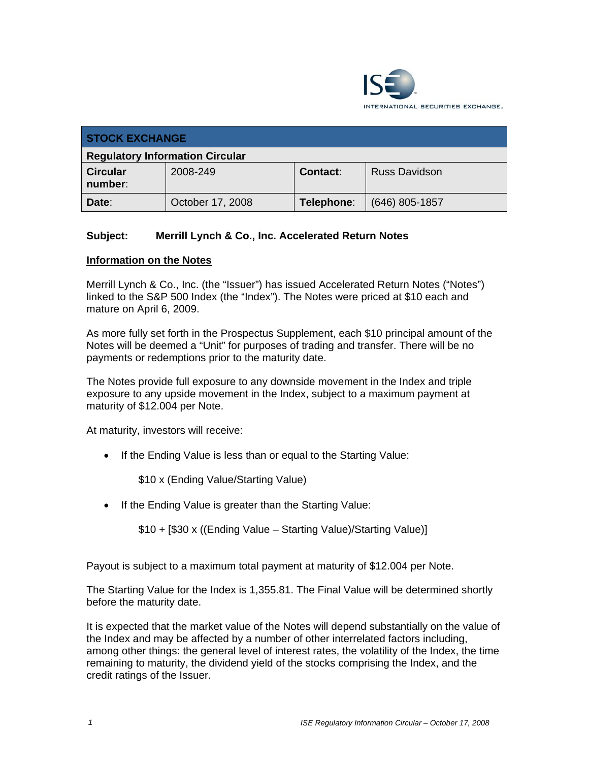

| <b>STOCK EXCHANGE</b>                  |                  |            |                      |  |  |
|----------------------------------------|------------------|------------|----------------------|--|--|
| <b>Regulatory Information Circular</b> |                  |            |                      |  |  |
| <b>Circular</b><br>number:             | 2008-249         | Contact:   | <b>Russ Davidson</b> |  |  |
| Date:                                  | October 17, 2008 | Telephone: | $(646)$ 805-1857     |  |  |

## **Subject: Merrill Lynch & Co., Inc. Accelerated Return Notes**

## **Information on the Notes**

Merrill Lynch & Co., Inc. (the "Issuer") has issued Accelerated Return Notes ("Notes") linked to the S&P 500 Index (the "Index"). The Notes were priced at \$10 each and mature on April 6, 2009.

As more fully set forth in the Prospectus Supplement, each \$10 principal amount of the Notes will be deemed a "Unit" for purposes of trading and transfer. There will be no payments or redemptions prior to the maturity date.

The Notes provide full exposure to any downside movement in the Index and triple exposure to any upside movement in the Index, subject to a maximum payment at maturity of \$12.004 per Note.

At maturity, investors will receive:

• If the Ending Value is less than or equal to the Starting Value:

\$10 x (Ending Value/Starting Value)

• If the Ending Value is greater than the Starting Value:

\$10 + [\$30 x ((Ending Value – Starting Value)/Starting Value)]

Payout is subject to a maximum total payment at maturity of \$12.004 per Note.

The Starting Value for the Index is 1,355.81. The Final Value will be determined shortly before the maturity date.

It is expected that the market value of the Notes will depend substantially on the value of the Index and may be affected by a number of other interrelated factors including, among other things: the general level of interest rates, the volatility of the Index, the time remaining to maturity, the dividend yield of the stocks comprising the Index, and the credit ratings of the Issuer.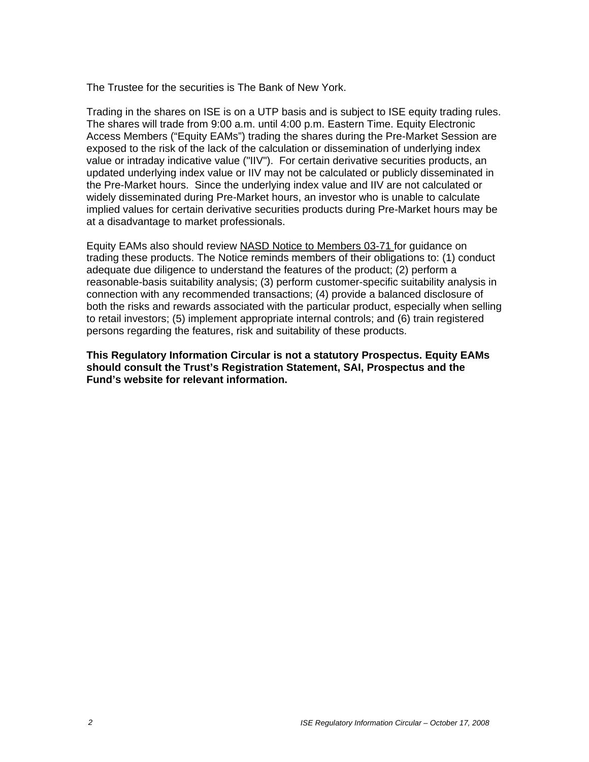The Trustee for the securities is The Bank of New York.

Trading in the shares on ISE is on a UTP basis and is subject to ISE equity trading rules. The shares will trade from 9:00 a.m. until 4:00 p.m. Eastern Time. Equity Electronic Access Members ("Equity EAMs") trading the shares during the Pre-Market Session are exposed to the risk of the lack of the calculation or dissemination of underlying index value or intraday indicative value ("IIV"). For certain derivative securities products, an updated underlying index value or IIV may not be calculated or publicly disseminated in the Pre-Market hours. Since the underlying index value and IIV are not calculated or widely disseminated during Pre-Market hours, an investor who is unable to calculate implied values for certain derivative securities products during Pre-Market hours may be at a disadvantage to market professionals.

Equity EAMs also should review NASD Notice to Members 03-71 for guidance on trading these products. The Notice reminds members of their obligations to: (1) conduct adequate due diligence to understand the features of the product; (2) perform a reasonable-basis suitability analysis; (3) perform customer-specific suitability analysis in connection with any recommended transactions; (4) provide a balanced disclosure of both the risks and rewards associated with the particular product, especially when selling to retail investors; (5) implement appropriate internal controls; and (6) train registered persons regarding the features, risk and suitability of these products.

**This Regulatory Information Circular is not a statutory Prospectus. Equity EAMs should consult the Trust's Registration Statement, SAI, Prospectus and the Fund's website for relevant information.**